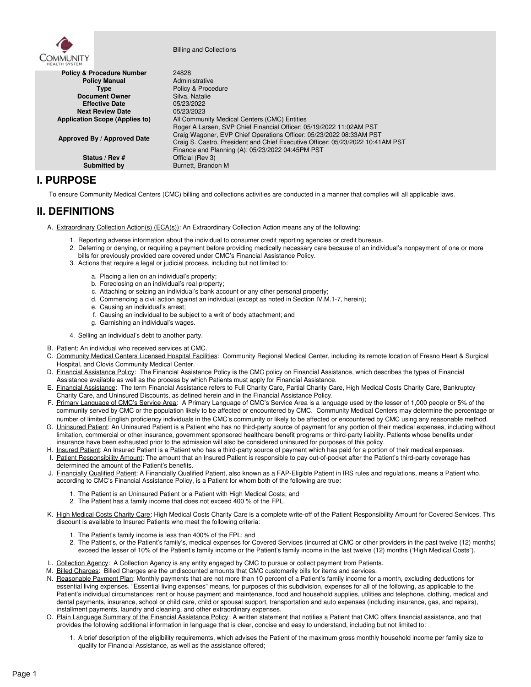

Billing and Collections

| HEALTH SYSTEM                         |                                                                                                                                                                                                                                                                                  |
|---------------------------------------|----------------------------------------------------------------------------------------------------------------------------------------------------------------------------------------------------------------------------------------------------------------------------------|
| <b>Policy &amp; Procedure Number</b>  | 24828                                                                                                                                                                                                                                                                            |
| <b>Policy Manual</b>                  | Administrative                                                                                                                                                                                                                                                                   |
| <b>Type</b>                           | Policy & Procedure                                                                                                                                                                                                                                                               |
| <b>Document Owner</b>                 | Silva. Natalie                                                                                                                                                                                                                                                                   |
| <b>Effective Date</b>                 | 05/23/2022                                                                                                                                                                                                                                                                       |
| <b>Next Review Date</b>               | 05/23/2023                                                                                                                                                                                                                                                                       |
| <b>Application Scope (Applies to)</b> | All Community Medical Centers (CMC) Entities                                                                                                                                                                                                                                     |
| Approved By / Approved Date           | Roger A Larsen, SVP Chief Financial Officer: 05/19/2022 11:02AM PST<br>Craig Wagoner, EVP Chief Operations Officer: 05/23/2022 08:33AM PST<br>Craig S. Castro, President and Chief Executive Officer: 05/23/2022 10:41AM PST<br>Finance and Planning (A): 05/23/2022 04:45PM PST |
| Status / Rev #                        | Official (Rev 3)                                                                                                                                                                                                                                                                 |
| Submitted by                          | Burnett, Brandon M                                                                                                                                                                                                                                                               |

## **I. PURPOSE**

To ensure Community Medical Centers (CMC) billing and collections activities are conducted in a manner that complies will all applicable laws.

# **II. DEFINITIONS**

- A. Extraordinary Collection Action(s) (ECA(s)): An Extraordinary Collection Action means any of the following:
	- 1. Reporting adverse information about the individual to consumer credit reporting agencies or credit bureaus.
	- 2. Deferring or denying, or requiring a payment before providing medically necessary care because of an individual's nonpayment of one or more bills for previously provided care covered under CMC's Financial Assistance Policy.
	- 3. Actions that require a legal or judicial process, including but not limited to:
		- a. Placing a lien on an individual's property;
		- b. Foreclosing on an individual's real property;
		- c. Attaching or seizing an individual's bank account or any other personal property;
		- d. Commencing a civil action against an individual (except as noted in Section IV.M.1-7, herein);
		- e. Causing an individual's arrest;
		- f. Causing an individual to be subject to a writ of body attachment; and
		- g. Garnishing an individual's wages.
	- 4. Selling an individual's debt to another party.
- B. Patient: An individual who received services at CMC.
- C. Community Medical Centers Licensed Hospital Facilities: Community Regional Medical Center, including its remote location of Fresno Heart & Surgical Hospital, and Clovis Community Medical Center.
- D. Financial Assistance Policy: The Financial Assistance Policy is the CMC policy on Financial Assistance, which describes the types of Financial Assistance available as well as the process by which Patients must apply for Financial Assistance.
- E. Financial Assistance: The term Financial Assistance refers to Full Charity Care, Partial Charity Care, High Medical Costs Charity Care, Bankruptcy Charity Care, and Uninsured Discounts, as defined herein and in the Financial Assistance Policy.
- F. Primary Language of CMC's Service Area: A Primary Language of CMC's Service Area is a language used by the lesser of 1,000 people or 5% of the community served by CMC orthe population likely to be affected or encountered by CMC. Community Medical Centers may determine the percentage or number of limited English proficiency individuals in the CMC's community or likely to be affected or encountered by CMC using any reasonable method.
- G. Uninsured Patient: An Uninsured Patient is a Patient who has no third-party source of payment for any portion of their medical expenses, including without limitation, commercial or other insurance, government sponsored healthcare benefit programs or third-party liability. Patients whose benefits under insurance have been exhausted prior to the admission will also be considered uninsured for purposes of this policy.
- H. Insured Patient: An Insured Patient is a Patient who has a third-party source of payment which has paid for a portion of their medical expenses. I. Patient Responsibility Amount: The amount that an Insured Patient is responsible to pay out-of-pocket after the Patient's third-party coverage has determined the amount of the Patient's benefits.
- J. Einancially Qualified Patient: A Financially Qualified Patient, also known as a FAP-Eligible Patient in IRS rules and regulations, means a Patient who, according to CMC's Financial Assistance Policy, is a Patient for whom both of the following are true:
	- 1. The Patient is an Uninsured Patient or a Patient with High Medical Costs; and
	- 2. The Patient has a family income that does not exceed 400 % of the FPL.
- K. High Medical Costs Charity Care: High Medical Costs Charity Care is a complete write-off of the Patient Responsibility Amount for Covered Services. This discount is available to Insured Patients who meet the following criteria:
	- 1. The Patient's family income is less than 400% of the FPL; and
	- 2. The Patient's, or the Patient's family's, medical expenses for Covered Services (incurred at CMC or other providers in the past twelve (12) months) exceed the lesser of 10% of the Patient's family income or the Patient's family income in the last twelve (12) months ("High Medical Costs").
- L. Collection Agency: A Collection Agency is any entity engaged by CMC to pursue or collect payment from Patients.
- M. Billed Charges: Billed Charges are the undiscounted amounts that CMC customarily bills for items and services.
- N. Reasonable Payment Plan: Monthly payments that are not more than 10 percent of a Patient's family income for a month, excluding deductions for essential living expenses. "Essential living expenses" means, for purposes of this subdivision, expenses for all of the following, as applicable to the Patient's individual circumstances: rent or house payment and maintenance, food and household supplies, utilities and telephone, clothing, medical and dental payments, insurance, school or child care, child or spousal support, transportation and auto expenses (including insurance, gas, and repairs), installment payments, laundry and cleaning, and other extraordinary expenses.
- O. Plain Language Summary of the Financial Assistance Policy : A written statement that notifies a Patient that CMC offers financial assistance, and that provides the following additional information in language that is clear, concise and easy to understand, including but not limited to:
	- 1. A brief description of the eligibility requirements, which advises the Patient of the maximum gross monthly household income per family size to qualify for Financial Assistance, as well as the assistance offered;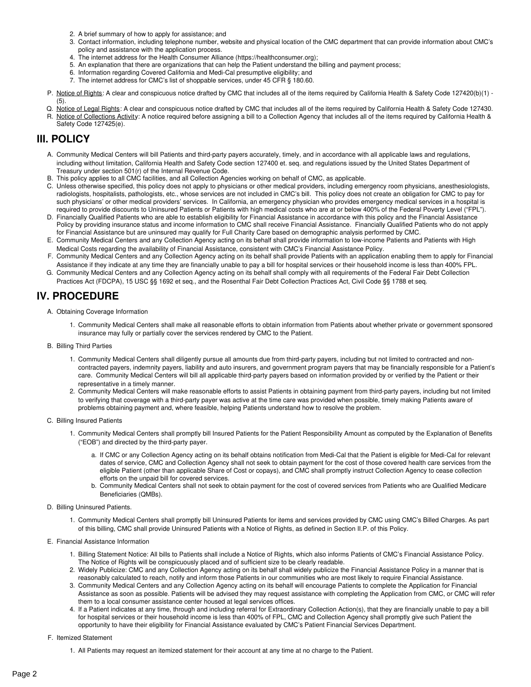- 2. A brief summary of how to apply for assistance; and
- 3. Contact information, including telephone number, website and physical location of the CMC department that can provide information about CMC's policy and assistance with the application process.
- 4. The internet address for the Health Consumer Alliance (https://healthconsumer.org);
- 5. An explanation that there are organizations that can help the Patient understand the billing and payment process;
- 6. Information regarding Covered California and Medi-Cal presumptive eligibility; and
- 7. The internet address for CMC's list of shoppable services, under 45 CFR § 180.60.
- P. Notice of Rights: A clear and conspicuous notice drafted by CMC that includes all of the items required by California Health & Safety Code 127420(b)(1) -(5).
- Q. Notice of Legal Rights: A clear and conspicuous notice drafted by CMC that includes all of the items required by California Health & Safety Code 127430. R. Notice of Collections Activity: A notice required before assigning a bill to a Collection Agency that includes all of the items required by California Health & Safety Code 127425(e).

## **III. POLICY**

- A. Community Medical Centers will bill Patients and third-party payers accurately, timely, and in accordance with all applicable laws and regulations, including without limitation, California Health and Safety Code section 127400 et. seq. and regulations issued by the United States Department of Treasury under section 501(r) of the Internal Revenue Code.
- B. This policy applies to all CMC facilities, and all Collection Agencies working on behalf of CMC, as applicable.
- C. Unless otherwise specified, this policy does not apply to physicians or other medical providers, including emergency room physicians, anesthesiologists, radiologists, hospitalists, pathologists, etc., whose services are not included in CMC's bill. This policy does not create an obligation for CMC to pay for such physicians' or other medical providers' services. In California, an emergency physician who provides emergency medical services in a hospital is required to provide discounts to Uninsured Patients or Patients with high medical costs who are at or below 400% of the Federal Poverty Level ("FPL").
- D. Financially Qualified Patients who are able to establish eligibility for Financial Assistance in accordance with this policy and the Financial Assistance Policy by providing insurance status and income information to CMC shall receive Financial Assistance. Financially Qualified Patients who do not apply for Financial Assistance but are uninsured may qualify for Full Charity Care based on demographic analysis performed by CMC.
- E. Community Medical Centers and any Collection Agency acting on its behalf shall provide information to low-income Patients and Patients with High Medical Costs regarding the availability of Financial Assistance, consistent with CMC's Financial Assistance Policy.
- F. Community Medical Centers and any Collection Agency acting on its behalf shall provide Patients with an application enabling them to apply for Financial Assistance if they indicate at any time they are financially unable to pay a bill for hospital services or their household income is less than 400% FPL.
- G. Community Medical Centers and any Collection Agency acting on its behalf shall comply with all requirements of the Federal Fair Debt Collection Practices Act (FDCPA), 15 USC §§ 1692 et seq., and the Rosenthal Fair Debt Collection Practices Act, Civil Code §§ 1788 et seq.

## **IV. PROCEDURE**

- A. Obtaining Coverage Information
	- 1. Community Medical Centers shall make all reasonable efforts to obtain information from Patients about whether private or government sponsored insurance may fully or partially cover the services rendered by CMC to the Patient.
- B. Billing Third Parties
	- 1. Community Medical Centers shall diligently pursue all amounts due from third-party payers, including but not limited to contracted and non contracted payers, indemnity payers, liability and auto insurers, and government program payers that may be financially responsible for a Patient's care. Community Medical Centers will bill all applicable third-party payers based on information provided by or verified by the Patient or their representative in a timely manner.
	- 2. Community Medical Centers will make reasonable efforts to assist Patients in obtaining payment from third-party payers, including but not limited to verifying that coverage with a third-party payer was active at the time care was provided when possible, timely making Patients aware of problems obtaining payment and, where feasible, helping Patients understand how to resolve the problem.
- C. Billing Insured Patients
	- 1. Community Medical Centers shall promptly bill Insured Patients for the Patient Responsibility Amount as computed by the Explanation of Benefits ("EOB") and directed by the third-party payer.
		- a. If CMC orany Collection Agency acting on its behalf obtains notification from Medi-Cal that the Patient is eligible for Medi-Cal for relevant dates of service, CMC and Collection Agency shall not seek to obtain payment for the cost of those covered health care services from the eligible Patient (other than applicable Share of Cost or copays), and CMC shall promptly instruct Collection Agency to cease collection efforts on the unpaid bill for covered services.
		- b. Community Medical Centers shall not seek to obtain payment for the cost of covered services from Patients who are Qualified Medicare Beneficiaries (QMBs).
- D. Billing Uninsured Patients.
	- 1. Community Medical Centers shall promptly bill Uninsured Patients for items and services provided by CMC using CMC's Billed Charges. As part of this billing, CMC shall provide Uninsured Patients with a Notice of Rights, as defined in Section II.P. of this Policy.
- E. Financial Assistance Information
	- 1. Billing Statement Notice: All bills to Patients shall include a Notice of Rights, which also informs Patients of CMC's Financial Assistance Policy. The Notice of Rights will be conspicuously placed and of sufficient size to be clearly readable.
	- 2. Widely Publicize: CMC and any Collection Agency acting on its behalf shall widely publicize the Financial Assistance Policy in a manner that is reasonably calculated to reach, notify and inform those Patients in our communities who are most likely to require Financial Assistance.
	- 3. Community Medical Centers and any Collection Agency acting on its behalf will encourage Patients to complete the Application for Financial Assistance as soon as possible. Patients will be advised they may request assistance with completing the Application from CMC, or CMC will refer them to a local consumer assistance center housed at legal services offices.
	- 4. If a Patient indicates at any time, through and including referral for Extraordinary Collection Action(s), that they are financially unable to pay a bill for hospital services or their household income is less than 400% of FPL, CMC and Collection Agency shall promptly give such Patient the opportunity to have their eligibility for Financial Assistance evaluated by CMC's Patient Financial Services Department.

### F. Itemized Statement

1. All Patients may request an itemized statement for their account at any time at no charge to the Patient.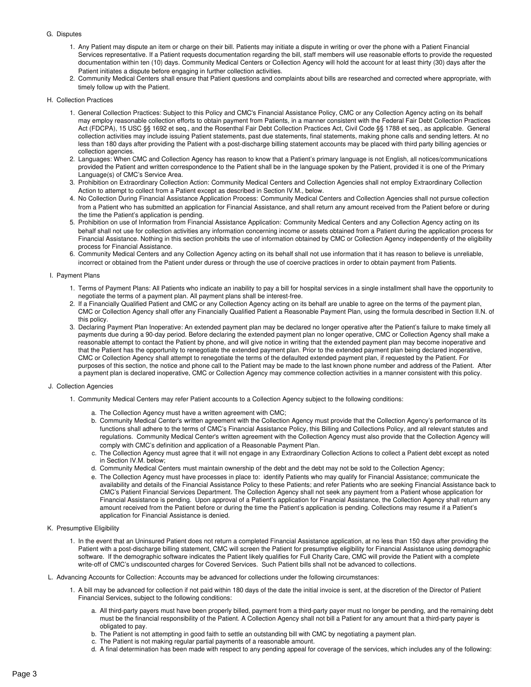#### G. Disputes

- 1. Any Patient may dispute an item or charge on their bill. Patients may initiate a dispute in writing or over the phone with a Patient Financial Services representative. If a Patient requests documentation regarding the bill, staff members will use reasonable efforts to provide the requested documentation within ten (10) days. Community Medical Centers or Collection Agency will hold the account for at least thirty (30) days after the Patient initiates a dispute before engaging in further collection activities.
- 2. Community Medical Centers shall ensure that Patient questions and complaints about bills are researched and corrected where appropriate, with timely follow up with the Patient.

#### H. Collection Practices

- 1. General Collection Practices: Subject to this Policy and CMC's Financial Assistance Policy, CMC orany Collection Agency acting on its behalf may employ reasonable collection efforts to obtain payment from Patients, in a manner consistent with the Federal Fair Debt Collection Practices Act (FDCPA), 15 USC §§ 1692 et seq., and the Rosenthal Fair Debt Collection Practices Act, Civil Code §§ 1788 et seq., as applicable. General collection activities may include issuing Patient statements, past due statements, final statements, making phone calls and sending letters. At no less than 180 days after providing the Patient with a post-discharge billing statement accounts may be placed with third party billing agencies or collection agencies.
- 2. Languages: When CMC and Collection Agency has reason to know that a Patient's primary language is not English, all notices/communications provided the Patient and written correspondence to the Patient shall be in the language spoken by the Patient, provided it is one of the Primary Language(s) of CMC's Service Area.
- 3. Prohibition on Extraordinary Collection Action: Community Medical Centers and Collection Agencies shall not employ Extraordinary Collection Action to attempt to collect from a Patient except as described in Section IV.M., below.
- 4. No Collection During Financial Assistance Application Process: Community Medical Centers and Collection Agencies shall not pursue collection from a Patient who has submitted an application for Financial Assistance, and shall return any amount received from the Patient before or during the time the Patient's application is pending.
- 5. Prohibition on use of Information from Financial Assistance Application: Community Medical Centers and any Collection Agency acting on its behalf shall not use for collection activities any information concerning income or assets obtained from a Patient during the application process for Financial Assistance. Nothing in this section prohibits the use of information obtained by CMC orCollection Agency independently of the eligibility process for Financial Assistance.
- 6. Community Medical Centers and any Collection Agency acting on its behalf shall not use information that it has reason to believe is unreliable, incorrect or obtained from the Patient under duress or through the use of coercive practices in order to obtain payment from Patients.

#### I. Payment Plans

- 1. Terms of Payment Plans: All Patients who indicate an inability to pay a bill for hospital services in a single installment shall have the opportunity to negotiate the terms of a payment plan. All payment plans shall be interest-free.
- 2. If a Financially Qualified Patient and CMC or any Collection Agency acting on its behalf are unable to agree on the terms of the payment plan, CMC orCollection Agency shall offer any Financially Qualified Patient a Reasonable Payment Plan, using the formula described in Section II.N. of this policy.
- 3. Declaring Payment Plan Inoperative: An extended payment plan may be declared no longer operative after the Patient's failure to make timely all payments due during a 90-day period. Before declaring the extended payment plan no longer operative, CMC or Collection Agency shall make a reasonable attempt to contact the Patient by phone, and will give notice in writing that the extended payment plan may become inoperative and that the Patient has the opportunity to renegotiate the extended payment plan. Prior to the extended payment plan being declared inoperative, CMC orCollection Agency shall attempt to renegotiate the terms of the defaulted extended payment plan, if requested by the Patient. For purposes of this section, the notice and phone call to the Patient may be made to the last known phone number and address of the Patient. After a payment plan is declared inoperative, CMC or Collection Agency may commence collection activities in a manner consistent with this policy.

#### J. Collection Agencies

- 1. Community Medical Centers may refer Patient accounts to a Collection Agency subject to the following conditions:
	- a. The Collection Agency must have a written agreement with CMC;
	- b. Community Medical Center's written agreement with the Collection Agency must provide that the Collection Agency's performance of its functions shall adhere to the terms of CMC's Financial Assistance Policy, this Billing and Collections Policy, and all relevant statutes and regulations. Community Medical Center's written agreement with the Collection Agency must also provide that the Collection Agency will comply with CMC's definition and application of a Reasonable Payment Plan.
	- c. The Collection Agency must agree that it will not engage in any Extraordinary Collection Actions to collect a Patient debt except as noted in Section IV.M. below;
	- d. Community Medical Centers must maintain ownership of the debt and the debt may not be sold to the Collection Agency;
	- e. The Collection Agency must have processes in place to: identify Patients who may qualify for Financial Assistance; communicate the availability and details of the Financial Assistance Policy to these Patients; and refer Patients who are seeking Financial Assistance back to CMC's Patient Financial Services Department. The Collection Agency shall not seek any payment from a Patient whose application for Financial Assistance is pending. Upon approval of a Patient's application for Financial Assistance, the Collection Agency shall return any amount received from the Patient before or during the time the Patient's application is pending. Collections may resume if a Patient's application for Financial Assistance is denied.
- K. Presumptive Eligibility
	- 1. In the event that an Uninsured Patient does not return a completed Financial Assistance application, at no less than 150 days after providing the Patient with a post-discharge billing statement, CMC will screen the Patient for presumptive eligibility for Financial Assistance using demographic software. If the demographic software indicates the Patient likely qualifies for Full Charity Care, CMC will provide the Patient with a complete write-off of CMC's undiscounted charges for Covered Services. Such Patient bills shall not be advanced to collections.
- L. Advancing Accounts for Collection: Accounts may be advanced for collections under the following circumstances:
	- 1. A bill may be advanced for collection if not paid within 180 days of the date the initial invoice is sent, at the discretion of the Director of Patient Financial Services, subject to the following conditions:
		- a. All third-party payers must have been properly billed, payment from a third-party payer must no longer be pending, and the remaining debt must be the financial responsibility of the Patient. A Collection Agency shall not bill a Patient for any amount that a third-party payer is obligated to pay.
		- b. The Patient is not attempting in good faith to settle an outstanding bill with CMC by negotiating a payment plan.
		- c. The Patient is not making regular partial payments of a reasonable amount.
		- d. A final determination has been made with respect to any pending appeal for coverage of the services, which includes any of the following: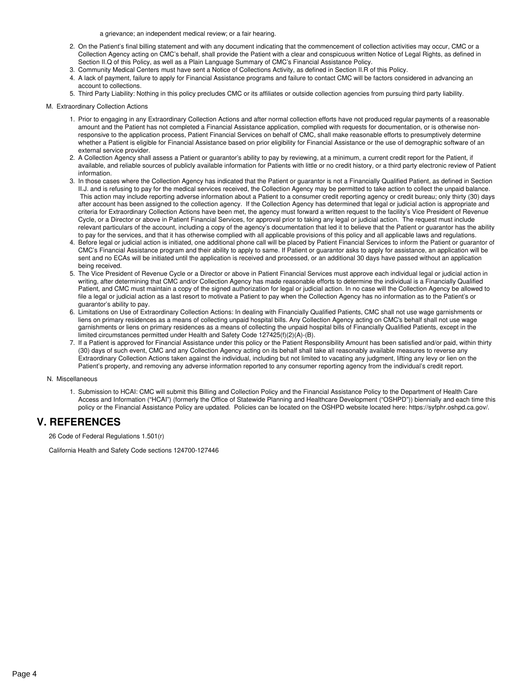a grievance; an independent medical review; or a fair hearing.

- 2. On the Patient's final billing statement and with any document indicating that the commencement of collection activities may occur, CMC or a Collection Agency acting on CMC's behalf, shall provide the Patient with a clear and conspicuous written Notice of Legal Rights, as defined in Section II.Q of this Policy, as well as a Plain Language Summary of CMC's Financial Assistance Policy.
- 3. Community Medical Centers must have sent a Notice of Collections Activity, as defined in Section II.R of this Policy.
- 4. A lack of payment, failure to apply for Financial Assistance programs and failure to contact CMC willbe factors considered in advancing an account to collections.
- 5. Third Party Liability: Nothing in this policy precludes CMC or its affiliates or outside collection agencies from pursuing third party liability.
- M. Extraordinary Collection Actions
	- 1. Prior to engaging in any Extraordinary Collection Actions and after normal collection efforts have not produced regular payments of a reasonable amount and the Patient has not completed a Financial Assistance application, complied with requests for documentation, or is otherwise nonresponsive to the application process, Patient Financial Services on behalf of CMC, shall make reasonable efforts to presumptively determine whether a Patient is eligible for Financial Assistance based on prior eligibility for Financial Assistance or the use of demographic software of an external service provider.
	- 2. A Collection Agency shall assess a Patient or guarantor's ability to pay by reviewing, at a minimum, a current credit report for the Patient, if available, and reliable sources of publicly available information for Patients with little or no credit history, or a third party electronic review of Patient information.
	- 3. In those cases where the Collection Agency has indicated that the Patient or guarantor is not a Financially Qualified Patient, as defined in Section II.J. and is refusing to pay for the medical services received, the Collection Agency may be permitted to take action to collect the unpaid balance. This action may include reporting adverse information about a Patient to a consumer credit reporting agency or credit bureau; only thirty (30) days after account has been assigned to the collection agency. If the Collection Agency has determined that legal or judicial action is appropriate and criteria for Extraordinary Collection Actions have been met, the agency must forward a written request to the facility's Vice President of Revenue Cycle, or a Director or above in Patient Financial Services, for approval prior to taking any legal or judicial action. The request must include relevant particulars of the account, including a copy of the agency's documentation that led it to believe that the Patient or guarantor has the ability to pay for the services, and that it has otherwise complied with all applicable provisions of this policy and all applicable laws and regulations.
	- 4. Before legal or judicial action is initiated, one additional phone call will be placed by Patient Financial Services to inform the Patient or guarantor of CMC's Financial Assistance program and their ability to apply to same. If Patient or guarantor asks to apply for assistance, an application will be sent and no ECAs will be initiated until the application is received and processed, or an additional 30 days have passed without an application being received.
	- 5. The Vice President of Revenue Cycle or a Director or above in Patient Financial Services must approve each individual legal or judicial action in writing, after determining that CMC and/or Collection Agency has made reasonable efforts to determine the individual is a Financially Qualified Patient, and CMC must maintain a copy of the signed authorization for legal or judicial action. In no case will the Collection Agency be allowed to file a legal or judicial action as a last resort to motivate a Patient to pay when the Collection Agency has no information as to the Patient's or guarantor's ability to pay.
	- 6. Limitations on Use of Extraordinary Collection Actions: In dealing with Financially Qualified Patients, CMC shall not use wage garnishments or liens on primary residences as a means of collecting unpaid hospital bills. Any Collection Agency acting on CMC's behalf shall not use wage garnishments or liens on primary residences as a means of collecting the unpaid hospital bills of Financially Qualified Patients, except in the limited circumstances permitted under Health and Safety Code 127425(f)(2)(A)-(B).
	- 7. If a Patient is approved for Financial Assistance under this policy or the Patient Responsibility Amount has been satisfied and/or paid, within thirty (30) days of such event, CMC and any Collection Agency acting on its behalf shall take all reasonably available measures to reverse any Extraordinary Collection Actions taken against the individual, including but not limited to vacating any judgment, lifting any levy or lien on the Patient's property, and removing any adverse information reported to any consumer reporting agency from the individual's credit report.

#### N. Miscellaneous

1. Submission to HCAI: CMC willsubmit this Billing and Collection Policy and the Financial Assistance Policy to the Department of Health Care Access and Information ("HCAI") (formerly the Office of Statewide Planning and Healthcare Development ("OSHPD")) biennially and each time this policy or the Financial Assistance Policy are updated. Policies can be located on the OSHPD website located here: https://syfphr.oshpd.ca.gov/.

### **V. REFERENCES**

26 Code of Federal Regulations 1.501(r)

California Health and Safety Code sections 124700-127446